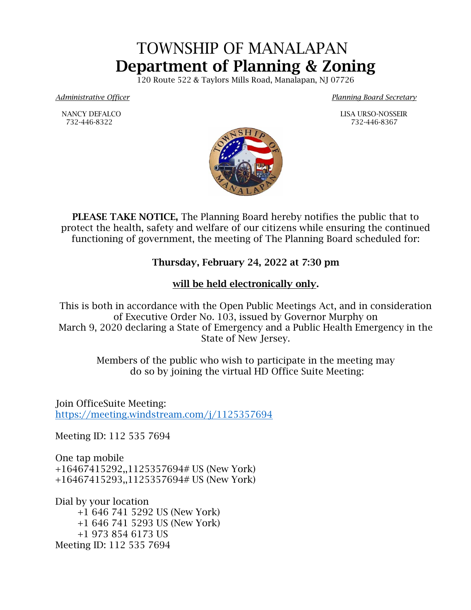## TOWNSHIP OF MANALAPAN Department of Planning & Zoning

120 Route 522 & Taylors Mills Road, Manalapan, NJ 07726

*Administrative Officer Planning Board Secretary*

NANCY DEFALCO LISA URSO-NOSSEIR



PLEASE TAKE NOTICE, The Planning Board hereby notifies the public that to protect the health, safety and welfare of our citizens while ensuring the continued functioning of government, the meeting of The Planning Board scheduled for:

## Thursday, February 24, 2022 at 7:30 pm

## will be held electronically only.

This is both in accordance with the Open Public Meetings Act, and in consideration of Executive Order No. 103, issued by Governor Murphy on March 9, 2020 declaring a State of Emergency and a Public Health Emergency in the State of New Jersey.

> Members of the public who wish to participate in the meeting may do so by joining the virtual HD Office Suite Meeting:

Join OfficeSuite Meeting: <https://meeting.windstream.com/j/1125357694>

Meeting ID: 112 535 7694

One tap mobile +16467415292,,1125357694# US (New York) +16467415293,,1125357694# US (New York)

Dial by your location +1 646 741 5292 US (New York) +1 646 741 5293 US (New York) +1 973 854 6173 US Meeting ID: 112 535 7694